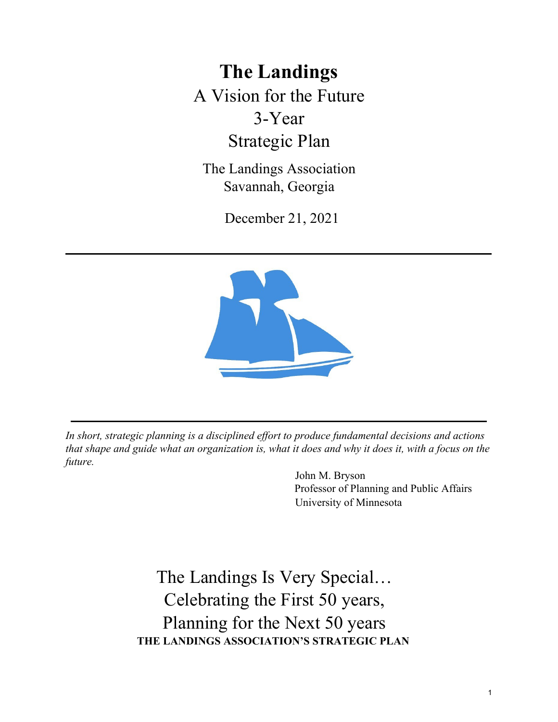**The Landings**  A Vision for the Future 3-Year Strategic Plan

The Landings Association Savannah, Georgia

December 21, 2021



*In short, strategic planning is a disciplined effort to produce fundamental decisions and actions that shape and guide what an organization is, what it does and why it does it, with a focus on the future.* 

> John M. Bryson Professor of Planning and Public Affairs University of Minnesota

The Landings Is Very Special… Celebrating the First 50 years, Planning for the Next 50 years **THE LANDINGS ASSOCIATION'S STRATEGIC PLAN**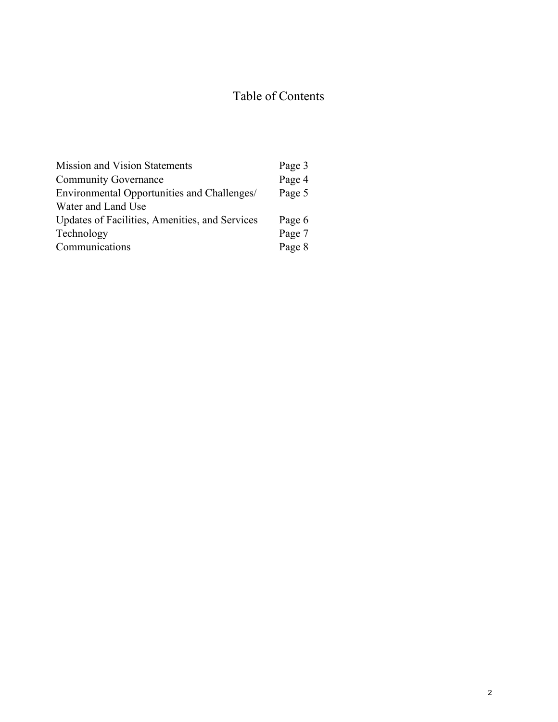# Table of Contents

| <b>Mission and Vision Statements</b>           | Page 3 |
|------------------------------------------------|--------|
| <b>Community Governance</b>                    | Page 4 |
| Environmental Opportunities and Challenges/    | Page 5 |
| Water and Land Use                             |        |
| Updates of Facilities, Amenities, and Services | Page 6 |
| Technology                                     | Page 7 |
| Communications                                 | Page 8 |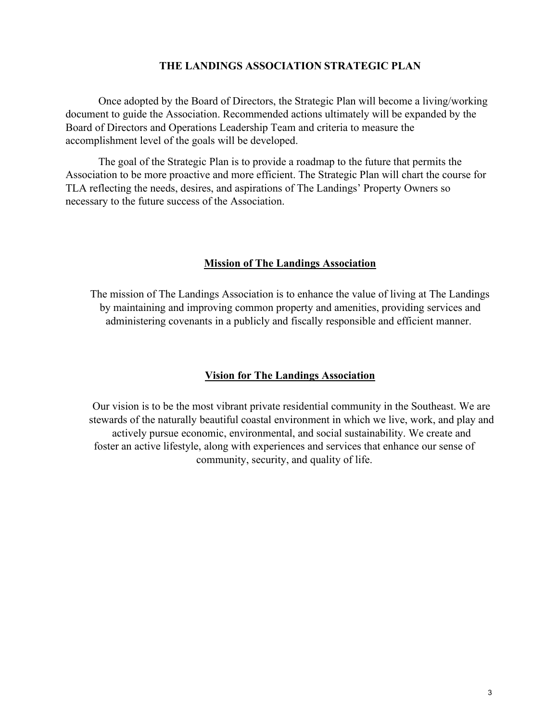Once adopted by the Board of Directors, the Strategic Plan will become a living/working document to guide the Association. Recommended actions ultimately will be expanded by the Board of Directors and Operations Leadership Team and criteria to measure the accomplishment level of the goals will be developed.

The goal of the Strategic Plan is to provide a roadmap to the future that permits the Association to be more proactive and more efficient. The Strategic Plan will chart the course for TLA reflecting the needs, desires, and aspirations of The Landings' Property Owners so necessary to the future success of the Association.

## **Mission of The Landings Association**

The mission of The Landings Association is to enhance the value of living at The Landings by maintaining and improving common property and amenities, providing services and administering covenants in a publicly and fiscally responsible and efficient manner.

# **Vision for The Landings Association**

Our vision is to be the most vibrant private residential community in the Southeast. We are stewards of the naturally beautiful coastal environment in which we live, work, and play and actively pursue economic, environmental, and social sustainability. We create and foster an active lifestyle, along with experiences and services that enhance our sense of community, security, and quality of life.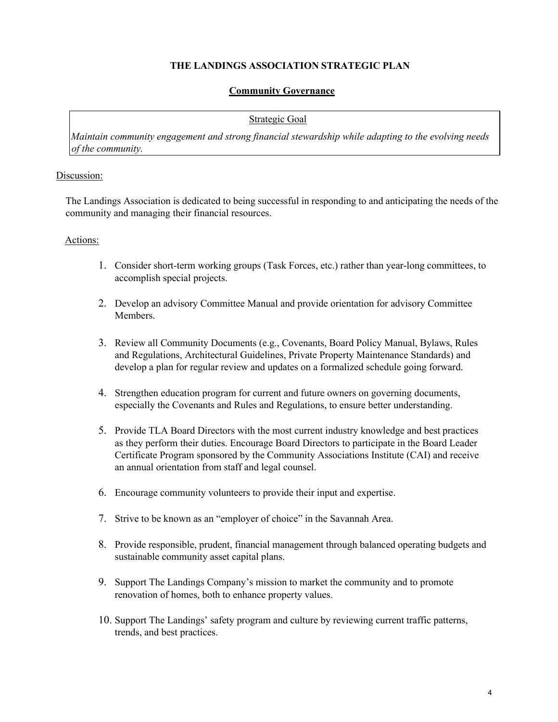#### **Community Governance**

#### Strategic Goal

*Maintain community engagement and strong financial stewardship while adapting to the evolving needs of the community.*

#### Discussion:

The Landings Association is dedicated to being successful in responding to and anticipating the needs of the community and managing their financial resources.

#### Actions:

- 1. Consider short-term working groups (Task Forces, etc.) rather than year-long committees, to accomplish special projects.
- 2. Develop an advisory Committee Manual and provide orientation for advisory Committee Members.
- 3. Review all Community Documents (e.g., Covenants, Board Policy Manual, Bylaws, Rules and Regulations, Architectural Guidelines, Private Property Maintenance Standards) and develop a plan for regular review and updates on a formalized schedule going forward.
- 4. Strengthen education program for current and future owners on governing documents, especially the Covenants and Rules and Regulations, to ensure better understanding.
- 5. Provide TLA Board Directors with the most current industry knowledge and best practices as they perform their duties. Encourage Board Directors to participate in the Board Leader Certificate Program sponsored by the Community Associations Institute (CAI) and receive an annual orientation from staff and legal counsel.
- 6. Encourage community volunteers to provide their input and expertise.
- 7. Strive to be known as an "employer of choice" in the Savannah Area.
- 8. Provide responsible, prudent, financial management through balanced operating budgets and sustainable community asset capital plans.
- 9. Support The Landings Company's mission to market the community and to promote renovation of homes, both to enhance property values.
- 10. Support The Landings' safety program and culture by reviewing current traffic patterns, trends, and best practices.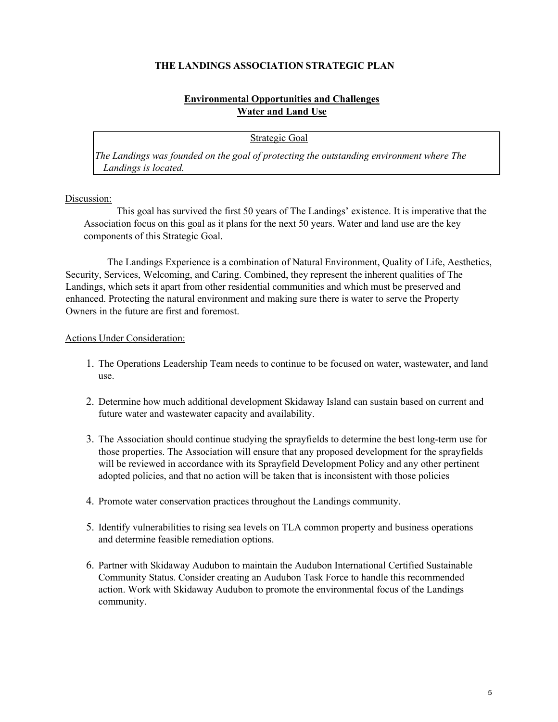## **Environmental Opportunities and Challenges Water and Land Use**

Strategic Goal

*The Landings was founded on the goal of protecting the outstanding environment where The Landings is located.* 

#### Discussion:

This goal has survived the first 50 years of The Landings' existence. It is imperative that the Association focus on this goal as it plans for the next 50 years. Water and land use are the key components of this Strategic Goal.

The Landings Experience is a combination of Natural Environment, Quality of Life, Aesthetics, Security, Services, Welcoming, and Caring. Combined, they represent the inherent qualities of The Landings, which sets it apart from other residential communities and which must be preserved and enhanced. Protecting the natural environment and making sure there is water to serve the Property Owners in the future are first and foremost.

- 1. The Operations Leadership Team needs to continue to be focused on water, wastewater, and land use.
- 2. Determine how much additional development Skidaway Island can sustain based on current and future water and wastewater capacity and availability.
- 3. The Association should continue studying the sprayfields to determine the best long-term use for those properties. The Association will ensure that any proposed development for the sprayfields will be reviewed in accordance with its Sprayfield Development Policy and any other pertinent adopted policies, and that no action will be taken that is inconsistent with those policies
- 4. Promote water conservation practices throughout the Landings community.
- 5. Identify vulnerabilities to rising sea levels on TLA common property and business operations and determine feasible remediation options.
- 6. Partner with Skidaway Audubon to maintain the Audubon International Certified Sustainable Community Status. Consider creating an Audubon Task Force to handle this recommended action. Work with Skidaway Audubon to promote the environmental focus of the Landings community.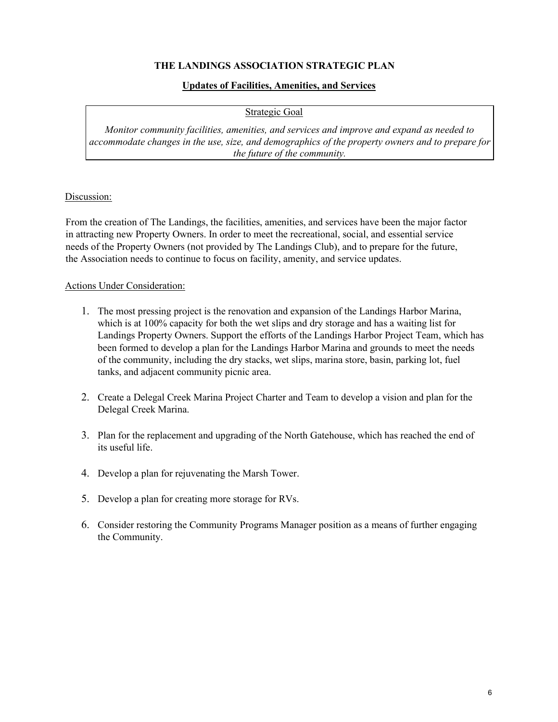#### **Updates of Facilities, Amenities, and Services**

Strategic Goal

*Monitor community facilities, amenities, and services and improve and expand as needed to accommodate changes in the use, size, and demographics of the property owners and to prepare for the future of the community.*

#### Discussion:

From the creation of The Landings, the facilities, amenities, and services have been the major factor in attracting new Property Owners. In order to meet the recreational, social, and essential service needs of the Property Owners (not provided by The Landings Club), and to prepare for the future, the Association needs to continue to focus on facility, amenity, and service updates.

- 1. The most pressing project is the renovation and expansion of the Landings Harbor Marina, which is at 100% capacity for both the wet slips and dry storage and has a waiting list for Landings Property Owners. Support the efforts of the Landings Harbor Project Team, which has been formed to develop a plan for the Landings Harbor Marina and grounds to meet the needs of the community, including the dry stacks, wet slips, marina store, basin, parking lot, fuel tanks, and adjacent community picnic area.
- 2. Create a Delegal Creek Marina Project Charter and Team to develop a vision and plan for the Delegal Creek Marina.
- 3. Plan for the replacement and upgrading of the North Gatehouse, which has reached the end of its useful life.
- 4. Develop a plan for rejuvenating the Marsh Tower.
- 5. Develop a plan for creating more storage for RVs.
- 6. Consider restoring the Community Programs Manager position as a means of further engaging the Community.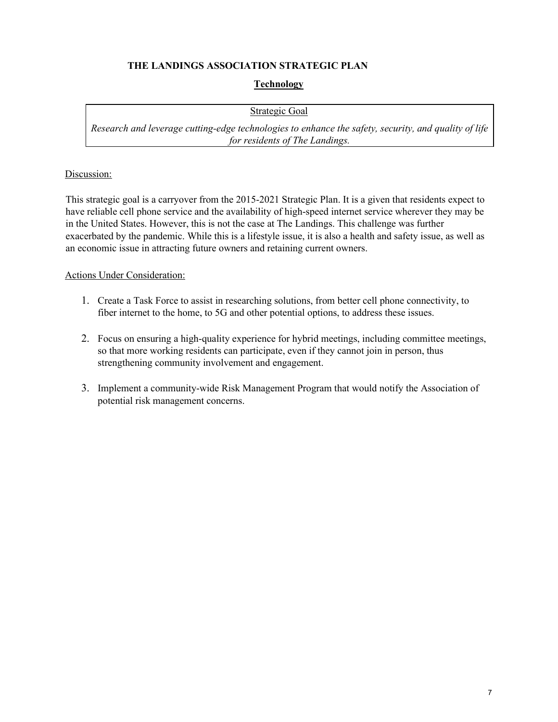# **Technology**

## Strategic Goal

*Research and leverage cutting-edge technologies to enhance the safety, security, and quality of life for residents of The Landings.* 

#### Discussion:

This strategic goal is a carryover from the 2015-2021 Strategic Plan. It is a given that residents expect to have reliable cell phone service and the availability of high-speed internet service wherever they may be in the United States. However, this is not the case at The Landings. This challenge was further exacerbated by the pandemic. While this is a lifestyle issue, it is also a health and safety issue, as well as an economic issue in attracting future owners and retaining current owners.

- 1. Create a Task Force to assist in researching solutions, from better cell phone connectivity, to fiber internet to the home, to 5G and other potential options, to address these issues.
- 2. Focus on ensuring a high-quality experience for hybrid meetings, including committee meetings, so that more working residents can participate, even if they cannot join in person, thus strengthening community involvement and engagement.
- 3. Implement a community-wide Risk Management Program that would notify the Association of potential risk management concerns.